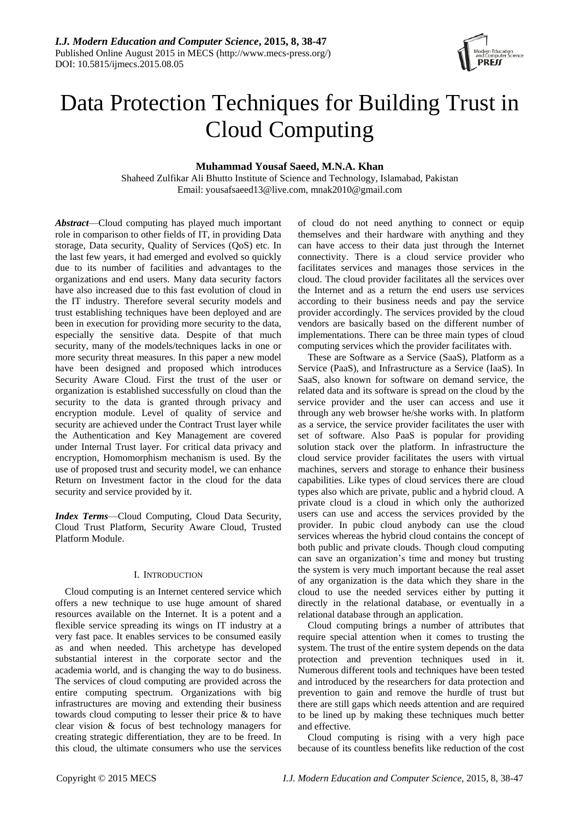

# Data Protection Techniques for Building Trust in Cloud Computing

# **Muhammad Yousaf Saeed, M.N.A. Khan**

Shaheed Zulfikar Ali Bhutto Institute of Science and Technology, Islamabad, Pakistan Email: [yousafsaeed13@live.com,](mailto:yousafsaeed13@live.com) mnak2010@gmail.com

*Abstract*—Cloud computing has played much important role in comparison to other fields of IT, in providing Data storage, Data security, Quality of Services (QoS) etc. In the last few years, it had emerged and evolved so quickly due to its number of facilities and advantages to the organizations and end users. Many data security factors have also increased due to this fast evolution of cloud in the IT industry. Therefore several security models and trust establishing techniques have been deployed and are been in execution for providing more security to the data, especially the sensitive data. Despite of that much security, many of the models/techniques lacks in one or more security threat measures. In this paper a new model have been designed and proposed which introduces Security Aware Cloud. First the trust of the user or organization is established successfully on cloud than the security to the data is granted through privacy and encryption module. Level of quality of service and security are achieved under the Contract Trust layer while the Authentication and Key Management are covered under Internal Trust layer. For critical data privacy and encryption, Homomorphism mechanism is used. By the use of proposed trust and security model, we can enhance Return on Investment factor in the cloud for the data security and service provided by it.

*Index Terms*—Cloud Computing, Cloud Data Security, Cloud Trust Platform, Security Aware Cloud, Trusted Platform Module.

## I. INTRODUCTION

Cloud computing is an Internet centered service which offers a new technique to use huge amount of shared resources available on the Internet. It is a potent and a flexible service spreading its wings on IT industry at a very fast pace. It enables services to be consumed easily as and when needed. This archetype has developed substantial interest in the corporate sector and the academia world, and is changing the way to do business. The services of cloud computing are provided across the entire computing spectrum. Organizations with big infrastructures are moving and extending their business towards cloud computing to lesser their price & to have clear vision & focus of best technology managers for creating strategic differentiation, they are to be freed. In this cloud, the ultimate consumers who use the services

of cloud do not need anything to connect or equip themselves and their hardware with anything and they can have access to their data just through the Internet connectivity. There is a cloud service provider who facilitates services and manages those services in the cloud. The cloud provider facilitates all the services over the Internet and as a return the end users use services according to their business needs and pay the service provider accordingly. The services provided by the cloud vendors are basically based on the different number of implementations. There can be three main types of cloud computing services which the provider facilitates with.

These are Software as a Service (SaaS), Platform as a Service (PaaS), and Infrastructure as a Service (IaaS). In SaaS, also known for software on demand service, the related data and its software is spread on the cloud by the service provider and the user can access and use it through any web browser he/she works with. In platform as a service, the service provider facilitates the user with set of software. Also PaaS is popular for providing solution stack over the platform. In infrastructure the cloud service provider facilitates the users with virtual machines, servers and storage to enhance their business capabilities. Like types of cloud services there are cloud types also which are private, public and a hybrid cloud. A private cloud is a cloud in which only the authorized users can use and access the services provided by the provider. In pubic cloud anybody can use the cloud services whereas the hybrid cloud contains the concept of both public and private clouds. Though cloud computing can save an organization's time and money but trusting the system is very much important because the real asset of any organization is the data which they share in the cloud to use the needed services either by putting it directly in the relational database, or eventually in a relational database through an application.

Cloud computing brings a number of attributes that require special attention when it comes to trusting the system. The trust of the entire system depends on the data protection and prevention techniques used in it. Numerous different tools and techniques have been tested and introduced by the researchers for data protection and prevention to gain and remove the hurdle of trust but there are still gaps which needs attention and are required to be lined up by making these techniques much better and effective.

Cloud computing is rising with a very high pace because of its countless benefits like reduction of the cost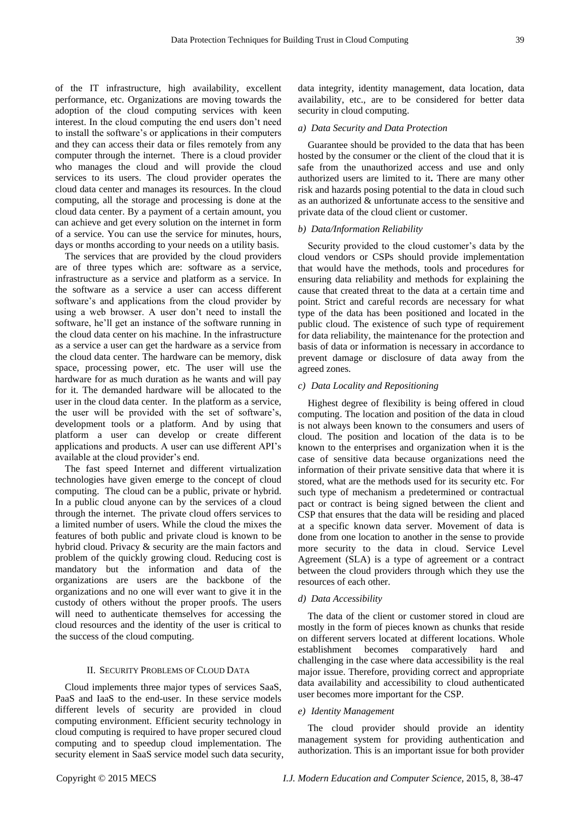of the IT infrastructure, high availability, excellent performance, etc. Organizations are moving towards the adoption of the cloud computing services with keen interest. In the cloud computing the end users don't need to install the software's or applications in their computers and they can access their data or files remotely from any computer through the internet. There is a cloud provider who manages the cloud and will provide the cloud services to its users. The cloud provider operates the cloud data center and manages its resources. In the cloud computing, all the storage and processing is done at the cloud data center. By a payment of a certain amount, you can achieve and get every solution on the internet in form of a service. You can use the service for minutes, hours, days or months according to your needs on a utility basis.

The services that are provided by the cloud providers are of three types which are: software as a service, infrastructure as a service and platform as a service. In the software as a service a user can access different software's and applications from the cloud provider by using a web browser. A user don't need to install the software, he'll get an instance of the software running in the cloud data center on his machine. In the infrastructure as a service a user can get the hardware as a service from the cloud data center. The hardware can be memory, disk space, processing power, etc. The user will use the hardware for as much duration as he wants and will pay for it. The demanded hardware will be allocated to the user in the cloud data center. In the platform as a service, the user will be provided with the set of software's, development tools or a platform. And by using that platform a user can develop or create different applications and products. A user can use different API's available at the cloud provider's end.

The fast speed Internet and different virtualization technologies have given emerge to the concept of cloud computing. The cloud can be a public, private or hybrid. In a public cloud anyone can by the services of a cloud through the internet. The private cloud offers services to a limited number of users. While the cloud the mixes the features of both public and private cloud is known to be hybrid cloud. Privacy & security are the main factors and problem of the quickly growing cloud. Reducing cost is mandatory but the information and data of the organizations are users are the backbone of the organizations and no one will ever want to give it in the custody of others without the proper proofs. The users will need to authenticate themselves for accessing the cloud resources and the identity of the user is critical to the success of the cloud computing.

#### II. SECURITY PROBLEMS OF CLOUD DATA

Cloud implements three major types of services SaaS, PaaS and IaaS to the end-user. In these service models different levels of security are provided in cloud computing environment. Efficient security technology in cloud computing is required to have proper secured cloud computing and to speedup cloud implementation. The security element in SaaS service model such data security, data integrity, identity management, data location, data availability, etc., are to be considered for better data security in cloud computing.

#### *a) Data Security and Data Protection*

Guarantee should be provided to the data that has been hosted by the consumer or the client of the cloud that it is safe from the unauthorized access and use and only authorized users are limited to it**.** There are many other risk and hazards posing potential to the data in cloud such as an authorized & unfortunate access to the sensitive and private data of the cloud client or customer.

## *b) Data/Information Reliability*

Security provided to the cloud customer's data by the cloud vendors or CSPs should provide implementation that would have the methods, tools and procedures for ensuring data reliability and methods for explaining the cause that created threat to the data at a certain time and point. Strict and careful records are necessary for what type of the data has been positioned and located in the public cloud. The existence of such type of requirement for data reliability, the maintenance for the protection and basis of data or information is necessary in accordance to prevent damage or disclosure of data away from the agreed zones.

## *c) Data Locality and Repositioning*

Highest degree of flexibility is being offered in cloud computing. The location and position of the data in cloud is not always been known to the consumers and users of cloud. The position and location of the data is to be known to the enterprises and organization when it is the case of sensitive data because organizations need the information of their private sensitive data that where it is stored, what are the methods used for its security etc. For such type of mechanism a predetermined or contractual pact or contract is being signed between the client and CSP that ensures that the data will be residing and placed at a specific known data server. Movement of data is done from one location to another in the sense to provide more security to the data in cloud. Service Level Agreement (SLA) is a type of agreement or a contract between the cloud providers through which they use the resources of each other.

#### *d) Data Accessibility*

The data of the client or customer stored in cloud are mostly in the form of pieces known as chunks that reside on different servers located at different locations. Whole establishment becomes comparatively hard and challenging in the case where data accessibility is the real major issue. Therefore, providing correct and appropriate data availability and accessibility to cloud authenticated user becomes more important for the CSP.

#### *e) Identity Management*

The cloud provider should provide an identity management system for providing authentication and authorization. This is an important issue for both provider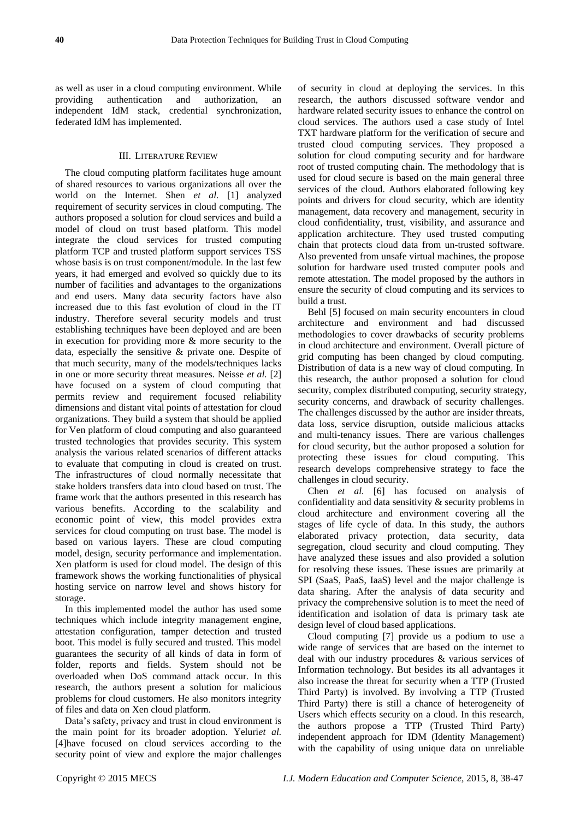as well as user in a cloud computing environment. While providing authentication and authorization, an independent IdM stack, credential synchronization, federated IdM has implemented.

## III. LITERATURE REVIEW

The cloud computing platform facilitates huge amount of shared resources to various organizations all over the world on the Internet. Shen *et al.* [1] analyzed requirement of security services in cloud computing. The authors proposed a solution for cloud services and build a model of cloud on trust based platform. This model integrate the cloud services for trusted computing platform TCP and trusted platform support services TSS whose basis is on trust component/module. In the last few years, it had emerged and evolved so quickly due to its number of facilities and advantages to the organizations and end users. Many data security factors have also increased due to this fast evolution of cloud in the IT industry. Therefore several security models and trust establishing techniques have been deployed and are been in execution for providing more & more security to the data, especially the sensitive & private one. Despite of that much security, many of the models/techniques lacks in one or more security threat measures. Neisse *et al.* [2] have focused on a system of cloud computing that permits review and requirement focused reliability dimensions and distant vital points of attestation for cloud organizations. They build a system that should be applied for Ven platform of cloud computing and also guaranteed trusted technologies that provides security. This system analysis the various related scenarios of different attacks to evaluate that computing in cloud is created on trust. The infrastructures of cloud normally necessitate that stake holders transfers data into cloud based on trust. The frame work that the authors presented in this research has various benefits. According to the scalability and economic point of view, this model provides extra services for cloud computing on trust base. The model is based on various layers. These are cloud computing model, design, security performance and implementation. Xen platform is used for cloud model. The design of this framework shows the working functionalities of physical hosting service on narrow level and shows history for storage.

In this implemented model the author has used some techniques which include integrity management engine, attestation configuration, tamper detection and trusted boot. This model is fully secured and trusted. This model guarantees the security of all kinds of data in form of folder, reports and fields. System should not be overloaded when DoS command attack occur. In this research, the authors present a solution for malicious problems for cloud customers. He also monitors integrity of files and data on Xen cloud platform.

Data's safety, privacy and trust in cloud environment is the main point for its broader adoption. Yeluri*et al.* [4]have focused on cloud services according to the security point of view and explore the major challenges

of security in cloud at deploying the services. In this research, the authors discussed software vendor and hardware related security issues to enhance the control on cloud services. The authors used a case study of Intel TXT hardware platform for the verification of secure and trusted cloud computing services. They proposed a solution for cloud computing security and for hardware root of trusted computing chain. The methodology that is used for cloud secure is based on the main general three services of the cloud. Authors elaborated following key points and drivers for cloud security, which are identity management, data recovery and management, security in cloud confidentiality, trust, visibility, and assurance and application architecture. They used trusted computing chain that protects cloud data from un-trusted software. Also prevented from unsafe virtual machines, the propose solution for hardware used trusted computer pools and remote attestation. The model proposed by the authors in ensure the security of cloud computing and its services to build a trust.

Behl [5] focused on main security encounters in cloud architecture and environment and had discussed methodologies to cover drawbacks of security problems in cloud architecture and environment. Overall picture of grid computing has been changed by cloud computing. Distribution of data is a new way of cloud computing. In this research, the author proposed a solution for cloud security, complex distributed computing, security strategy, security concerns, and drawback of security challenges. The challenges discussed by the author are insider threats, data loss, service disruption, outside malicious attacks and multi-tenancy issues. There are various challenges for cloud security, but the author proposed a solution for protecting these issues for cloud computing. This research develops comprehensive strategy to face the challenges in cloud security.

Chen *et al.* [6] has focused on analysis of confidentiality and data sensitivity & security problems in cloud architecture and environment covering all the stages of life cycle of data. In this study, the authors elaborated privacy protection, data security, data segregation, cloud security and cloud computing. They have analyzed these issues and also provided a solution for resolving these issues. These issues are primarily at SPI (SaaS, PaaS, IaaS) level and the major challenge is data sharing. After the analysis of data security and privacy the comprehensive solution is to meet the need of identification and isolation of data is primary task ate design level of cloud based applications.

Cloud computing [7] provide us a podium to use a wide range of services that are based on the internet to deal with our industry procedures & various services of Information technology. But besides its all advantages it also increase the threat for security when a TTP (Trusted Third Party) is involved. By involving a TTP (Trusted Third Party) there is still a chance of heterogeneity of Users which effects security on a cloud. In this research, the authors propose a TTP (Trusted Third Party) independent approach for IDM (Identity Management) with the capability of using unique data on unreliable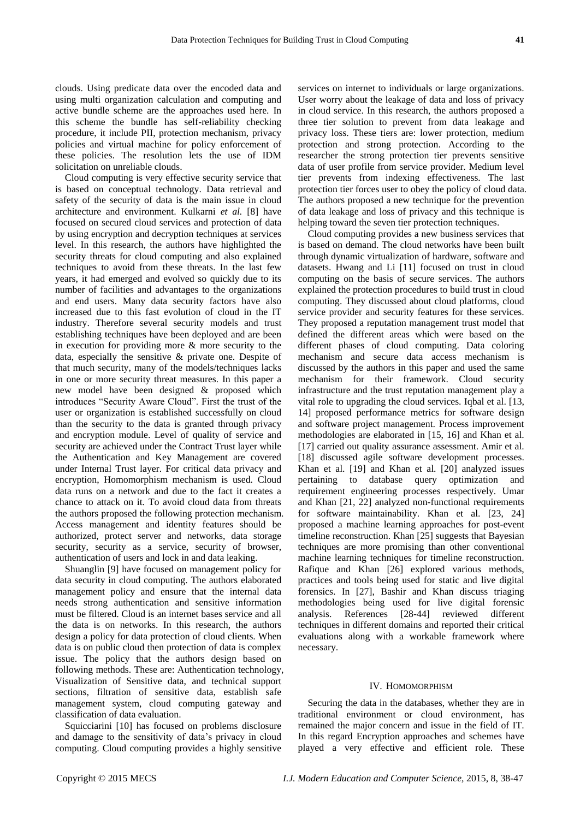clouds. Using predicate data over the encoded data and using multi organization calculation and computing and active bundle scheme are the approaches used here. In this scheme the bundle has self-reliability checking procedure, it include PII, protection mechanism, privacy policies and virtual machine for policy enforcement of these policies. The resolution lets the use of IDM solicitation on unreliable clouds.

Cloud computing is very effective security service that is based on conceptual technology. Data retrieval and safety of the security of data is the main issue in cloud architecture and environment. Kulkarni *et al.* [8] have focused on secured cloud services and protection of data by using encryption and decryption techniques at services level. In this research, the authors have highlighted the security threats for cloud computing and also explained techniques to avoid from these threats. In the last few years, it had emerged and evolved so quickly due to its number of facilities and advantages to the organizations and end users. Many data security factors have also increased due to this fast evolution of cloud in the IT industry. Therefore several security models and trust establishing techniques have been deployed and are been in execution for providing more & more security to the data, especially the sensitive & private one. Despite of that much security, many of the models/techniques lacks in one or more security threat measures. In this paper a new model have been designed & proposed which introduces "Security Aware Cloud". First the trust of the user or organization is established successfully on cloud than the security to the data is granted through privacy and encryption module. Level of quality of service and security are achieved under the Contract Trust layer while the Authentication and Key Management are covered under Internal Trust layer. For critical data privacy and encryption, Homomorphism mechanism is used. Cloud data runs on a network and due to the fact it creates a chance to attack on it. To avoid cloud data from threats the authors proposed the following protection mechanism. Access management and identity features should be authorized, protect server and networks, data storage security, security as a service, security of browser, authentication of users and lock in and data leaking.

Shuanglin [9] have focused on management policy for data security in cloud computing. The authors elaborated management policy and ensure that the internal data needs strong authentication and sensitive information must be filtered. Cloud is an internet bases service and all the data is on networks. In this research, the authors design a policy for data protection of cloud clients. When data is on public cloud then protection of data is complex issue. The policy that the authors design based on following methods. These are: Authentication technology, Visualization of Sensitive data, and technical support sections, filtration of sensitive data, establish safe management system, cloud computing gateway and classification of data evaluation.

Squicciarini [10] has focused on problems disclosure and damage to the sensitivity of data's privacy in cloud computing. Cloud computing provides a highly sensitive services on internet to individuals or large organizations. User worry about the leakage of data and loss of privacy in cloud service. In this research, the authors proposed a three tier solution to prevent from data leakage and privacy loss. These tiers are: lower protection, medium protection and strong protection. According to the researcher the strong protection tier prevents sensitive data of user profile from service provider. Medium level tier prevents from indexing effectiveness. The last protection tier forces user to obey the policy of cloud data. The authors proposed a new technique for the prevention of data leakage and loss of privacy and this technique is helping toward the seven tier protection techniques.

Cloud computing provides a new business services that is based on demand. The cloud networks have been built through dynamic virtualization of hardware, software and datasets. Hwang and Li [11] focused on trust in cloud computing on the basis of secure services. The authors explained the protection procedures to build trust in cloud computing. They discussed about cloud platforms, cloud service provider and security features for these services. They proposed a reputation management trust model that defined the different areas which were based on the different phases of cloud computing. Data coloring mechanism and secure data access mechanism is discussed by the authors in this paper and used the same mechanism for their framework. Cloud security infrastructure and the trust reputation management play a vital role to upgrading the cloud services. Iqbal et al. [13, 14] proposed performance metrics for software design and software project management. Process improvement methodologies are elaborated in [15, 16] and Khan et al. [17] carried out quality assurance assessment. Amir et al. [18] discussed agile software development processes. Khan et al. [19] and Khan et al. [20] analyzed issues pertaining to database query optimization and requirement engineering processes respectively. Umar and Khan [21, 22] analyzed non-functional requirements for software maintainability. Khan et al. [23, 24] proposed a machine learning approaches for post-event timeline reconstruction. Khan [25] suggests that Bayesian techniques are more promising than other conventional machine learning techniques for timeline reconstruction. Rafique and Khan [26] explored various methods, practices and tools being used for static and live digital forensics. In [27], Bashir and Khan discuss triaging methodologies being used for live digital forensic analysis. References [28-44] reviewed different techniques in different domains and reported their critical evaluations along with a workable framework where necessary.

## IV. HOMOMORPHISM

Securing the data in the databases, whether they are in traditional environment or cloud environment, has remained the major concern and issue in the field of IT. In this regard Encryption approaches and schemes have played a very effective and efficient role. These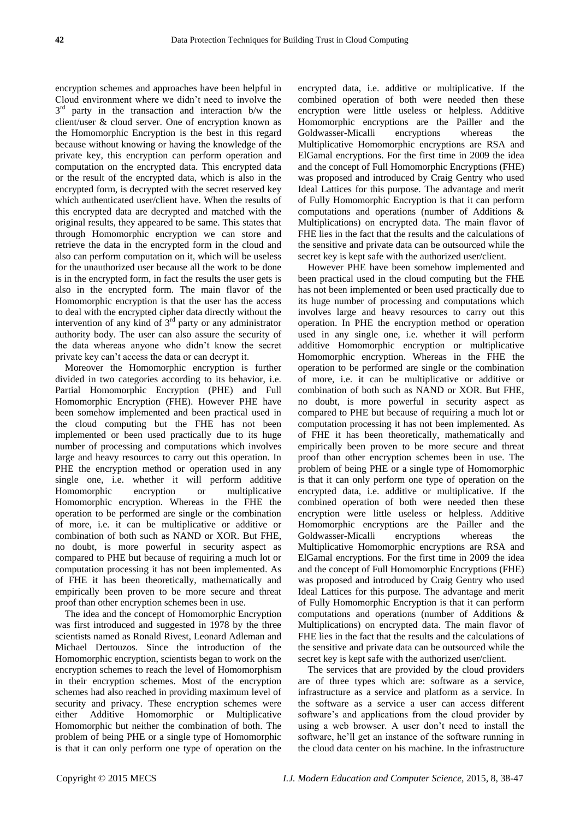encryption schemes and approaches have been helpful in Cloud environment where we didn't need to involve the  $3<sup>rd</sup>$  party in the transaction and interaction b/w the client/user & cloud server. One of encryption known as the Homomorphic Encryption is the best in this regard because without knowing or having the knowledge of the private key, this encryption can perform operation and computation on the encrypted data. This encrypted data or the result of the encrypted data, which is also in the encrypted form, is decrypted with the secret reserved key which authenticated user/client have. When the results of this encrypted data are decrypted and matched with the original results, they appeared to be same. This states that through Homomorphic encryption we can store and retrieve the data in the encrypted form in the cloud and also can perform computation on it, which will be useless for the unauthorized user because all the work to be done is in the encrypted form, in fact the results the user gets is also in the encrypted form. The main flavor of the Homomorphic encryption is that the user has the access to deal with the encrypted cipher data directly without the intervention of any kind of 3rd party or any administrator authority body. The user can also assure the security of the data whereas anyone who didn't know the secret private key can't access the data or can decrypt it.

Moreover the Homomorphic encryption is further divided in two categories according to its behavior, i.e. Partial Homomorphic Encryption (PHE) and Full Homomorphic Encryption (FHE). However PHE have been somehow implemented and been practical used in the cloud computing but the FHE has not been implemented or been used practically due to its huge number of processing and computations which involves large and heavy resources to carry out this operation. In PHE the encryption method or operation used in any single one, i.e. whether it will perform additive Homomorphic encryption or multiplicative Homomorphic encryption. Whereas in the FHE the operation to be performed are single or the combination of more, i.e. it can be multiplicative or additive or combination of both such as NAND or XOR. But FHE, no doubt, is more powerful in security aspect as compared to PHE but because of requiring a much lot or computation processing it has not been implemented. As of FHE it has been theoretically, mathematically and empirically been proven to be more secure and threat proof than other encryption schemes been in use.

The idea and the concept of Homomorphic Encryption was first introduced and suggested in 1978 by the three scientists named as Ronald Rivest, Leonard Adleman and Michael Dertouzos. Since the introduction of the Homomorphic encryption, scientists began to work on the encryption schemes to reach the level of Homomorphism in their encryption schemes. Most of the encryption schemes had also reached in providing maximum level of security and privacy. These encryption schemes were either Additive Homomorphic or Multiplicative Homomorphic but neither the combination of both. The problem of being PHE or a single type of Homomorphic is that it can only perform one type of operation on the

encrypted data, i.e. additive or multiplicative. If the combined operation of both were needed then these encryption were little useless or helpless. Additive Homomorphic encryptions are the Pailler and the Goldwasser-Micalli encryptions whereas the Multiplicative Homomorphic encryptions are RSA and ElGamal encryptions. For the first time in 2009 the idea and the concept of Full Homomorphic Encryptions (FHE) was proposed and introduced by Craig Gentry who used Ideal Lattices for this purpose. The advantage and merit of Fully Homomorphic Encryption is that it can perform computations and operations (number of Additions & Multiplications) on encrypted data. The main flavor of FHE lies in the fact that the results and the calculations of the sensitive and private data can be outsourced while the secret key is kept safe with the authorized user/client.

However PHE have been somehow implemented and been practical used in the cloud computing but the FHE has not been implemented or been used practically due to its huge number of processing and computations which involves large and heavy resources to carry out this operation. In PHE the encryption method or operation used in any single one, i.e. whether it will perform additive Homomorphic encryption or multiplicative Homomorphic encryption. Whereas in the FHE the operation to be performed are single or the combination of more, i.e. it can be multiplicative or additive or combination of both such as NAND or XOR. But FHE, no doubt, is more powerful in security aspect as compared to PHE but because of requiring a much lot or computation processing it has not been implemented. As of FHE it has been theoretically, mathematically and empirically been proven to be more secure and threat proof than other encryption schemes been in use. The problem of being PHE or a single type of Homomorphic is that it can only perform one type of operation on the encrypted data, i.e. additive or multiplicative. If the combined operation of both were needed then these encryption were little useless or helpless. Additive Homomorphic encryptions are the Pailler and the Goldwasser-Micalli encryptions whereas the Multiplicative Homomorphic encryptions are RSA and ElGamal encryptions. For the first time in 2009 the idea and the concept of Full Homomorphic Encryptions (FHE) was proposed and introduced by Craig Gentry who used Ideal Lattices for this purpose. The advantage and merit of Fully Homomorphic Encryption is that it can perform computations and operations (number of Additions & Multiplications) on encrypted data. The main flavor of FHE lies in the fact that the results and the calculations of the sensitive and private data can be outsourced while the secret key is kept safe with the authorized user/client.

The services that are provided by the cloud providers are of three types which are: software as a service, infrastructure as a service and platform as a service. In the software as a service a user can access different software's and applications from the cloud provider by using a web browser. A user don't need to install the software, he'll get an instance of the software running in the cloud data center on his machine. In the infrastructure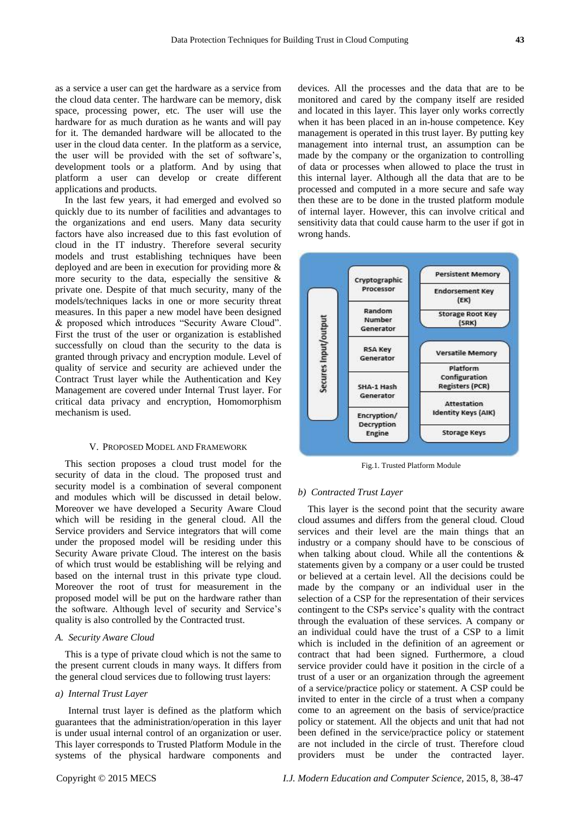as a service a user can get the hardware as a service from the cloud data center. The hardware can be memory, disk space, processing power, etc. The user will use the hardware for as much duration as he wants and will pay for it. The demanded hardware will be allocated to the user in the cloud data center. In the platform as a service, the user will be provided with the set of software's, development tools or a platform. And by using that platform a user can develop or create different applications and products.

In the last few years, it had emerged and evolved so quickly due to its number of facilities and advantages to the organizations and end users. Many data security factors have also increased due to this fast evolution of cloud in the IT industry. Therefore several security models and trust establishing techniques have been deployed and are been in execution for providing more & more security to the data, especially the sensitive  $\&$ private one. Despite of that much security, many of the models/techniques lacks in one or more security threat measures. In this paper a new model have been designed & proposed which introduces "Security Aware Cloud". First the trust of the user or organization is established successfully on cloud than the security to the data is granted through privacy and encryption module. Level of quality of service and security are achieved under the Contract Trust layer while the Authentication and Key Management are covered under Internal Trust layer. For critical data privacy and encryption, Homomorphism mechanism is used.

## V. PROPOSED MODEL AND FRAMEWORK

This section proposes a cloud trust model for the security of data in the cloud. The proposed trust and security model is a combination of several component and modules which will be discussed in detail below. Moreover we have developed a Security Aware Cloud which will be residing in the general cloud. All the Service providers and Service integrators that will come under the proposed model will be residing under this Security Aware private Cloud. The interest on the basis of which trust would be establishing will be relying and based on the internal trust in this private type cloud. Moreover the root of trust for measurement in the proposed model will be put on the hardware rather than the software. Although level of security and Service's quality is also controlled by the Contracted trust.

## *A. Security Aware Cloud*

This is a type of private cloud which is not the same to the present current clouds in many ways. It differs from the general cloud services due to following trust layers:

## *a) Internal Trust Layer*

Internal trust layer is defined as the platform which guarantees that the administration/operation in this layer is under usual internal control of an organization or user. This layer corresponds to Trusted Platform Module in the systems of the physical hardware components and devices. All the processes and the data that are to be monitored and cared by the company itself are resided and located in this layer. This layer only works correctly when it has been placed in an in-house competence. Key management is operated in this trust layer. By putting key management into internal trust, an assumption can be made by the company or the organization to controlling of data or processes when allowed to place the trust in this internal layer. Although all the data that are to be processed and computed in a more secure and safe way then these are to be done in the trusted platform module of internal layer. However, this can involve critical and sensitivity data that could cause harm to the user if got in wrong hands.



Fig.1. Trusted Platform Module

## *b) Contracted Trust Layer*

This layer is the second point that the security aware cloud assumes and differs from the general cloud. Cloud services and their level are the main things that an industry or a company should have to be conscious of when talking about cloud. While all the contentions & statements given by a company or a user could be trusted or believed at a certain level. All the decisions could be made by the company or an individual user in the selection of a CSP for the representation of their services contingent to the CSPs service's quality with the contract through the evaluation of these services. A company or an individual could have the trust of a CSP to a limit which is included in the definition of an agreement or contract that had been signed. Furthermore, a cloud service provider could have it position in the circle of a trust of a user or an organization through the agreement of a service/practice policy or statement. A CSP could be invited to enter in the circle of a trust when a company come to an agreement on the basis of service/practice policy or statement. All the objects and unit that had not been defined in the service/practice policy or statement are not included in the circle of trust. Therefore cloud providers must be under the contracted layer.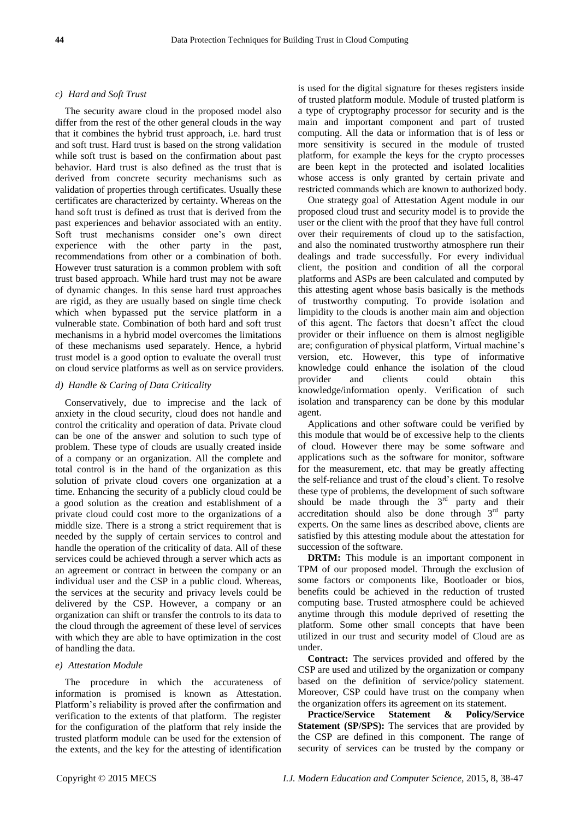#### *c) Hard and Soft Trust*

The security aware cloud in the proposed model also differ from the rest of the other general clouds in the way that it combines the hybrid trust approach, i.e. hard trust and soft trust. Hard trust is based on the strong validation while soft trust is based on the confirmation about past behavior. Hard trust is also defined as the trust that is derived from concrete security mechanisms such as validation of properties through certificates. Usually these certificates are characterized by certainty. Whereas on the hand soft trust is defined as trust that is derived from the past experiences and behavior associated with an entity. Soft trust mechanisms consider one's own direct experience with the other party in the past, recommendations from other or a combination of both. However trust saturation is a common problem with soft trust based approach. While hard trust may not be aware of dynamic changes. In this sense hard trust approaches are rigid, as they are usually based on single time check which when bypassed put the service platform in a vulnerable state. Combination of both hard and soft trust mechanisms in a hybrid model overcomes the limitations of these mechanisms used separately. Hence, a hybrid trust model is a good option to evaluate the overall trust on cloud service platforms as well as on service providers.

## *d) Handle & Caring of Data Criticality*

Conservatively, due to imprecise and the lack of anxiety in the cloud security, cloud does not handle and control the criticality and operation of data. Private cloud can be one of the answer and solution to such type of problem. These type of clouds are usually created inside of a company or an organization. All the complete and total control is in the hand of the organization as this solution of private cloud covers one organization at a time. Enhancing the security of a publicly cloud could be a good solution as the creation and establishment of a private cloud could cost more to the organizations of a middle size. There is a strong a strict requirement that is needed by the supply of certain services to control and handle the operation of the criticality of data. All of these services could be achieved through a server which acts as an agreement or contract in between the company or an individual user and the CSP in a public cloud. Whereas, the services at the security and privacy levels could be delivered by the CSP. However, a company or an organization can shift or transfer the controls to its data to the cloud through the agreement of these level of services with which they are able to have optimization in the cost of handling the data.

## *e) Attestation Module*

The procedure in which the accurateness of information is promised is known as Attestation. Platform's reliability is proved after the confirmation and verification to the extents of that platform. The register for the configuration of the platform that rely inside the trusted platform module can be used for the extension of the extents, and the key for the attesting of identification

is used for the digital signature for theses registers inside of trusted platform module. Module of trusted platform is a type of cryptography processor for security and is the main and important component and part of trusted computing. All the data or information that is of less or more sensitivity is secured in the module of trusted platform, for example the keys for the crypto processes are been kept in the protected and isolated localities whose access is only granted by certain private and restricted commands which are known to authorized body.

One strategy goal of Attestation Agent module in our proposed cloud trust and security model is to provide the user or the client with the proof that they have full control over their requirements of cloud up to the satisfaction, and also the nominated trustworthy atmosphere run their dealings and trade successfully. For every individual client, the position and condition of all the corporal platforms and ASPs are been calculated and computed by this attesting agent whose basis basically is the methods of trustworthy computing. To provide isolation and limpidity to the clouds is another main aim and objection of this agent. The factors that doesn't affect the cloud provider or their influence on them is almost negligible are; configuration of physical platform, Virtual machine's version, etc. However, this type of informative knowledge could enhance the isolation of the cloud provider and clients could obtain this knowledge/information openly. Verification of such isolation and transparency can be done by this modular agent.

Applications and other software could be verified by this module that would be of excessive help to the clients of cloud. However there may be some software and applications such as the software for monitor, software for the measurement, etc. that may be greatly affecting the self-reliance and trust of the cloud's client. To resolve these type of problems, the development of such software should be made through the  $3<sup>rd</sup>$  party and their accreditation should also be done through  $3<sup>rd</sup>$  party experts. On the same lines as described above, clients are satisfied by this attesting module about the attestation for succession of the software.

**DRTM:** This module is an important component in TPM of our proposed model. Through the exclusion of some factors or components like, Bootloader or bios, benefits could be achieved in the reduction of trusted computing base. Trusted atmosphere could be achieved anytime through this module deprived of resetting the platform. Some other small concepts that have been utilized in our trust and security model of Cloud are as under.

**Contract:** The services provided and offered by the CSP are used and utilized by the organization or company based on the definition of service/policy statement. Moreover, CSP could have trust on the company when the organization offers its agreement on its statement.

**Practice/Service Statement & Policy/Service Statement (SP/SPS):** The services that are provided by the CSP are defined in this component. The range of security of services can be trusted by the company or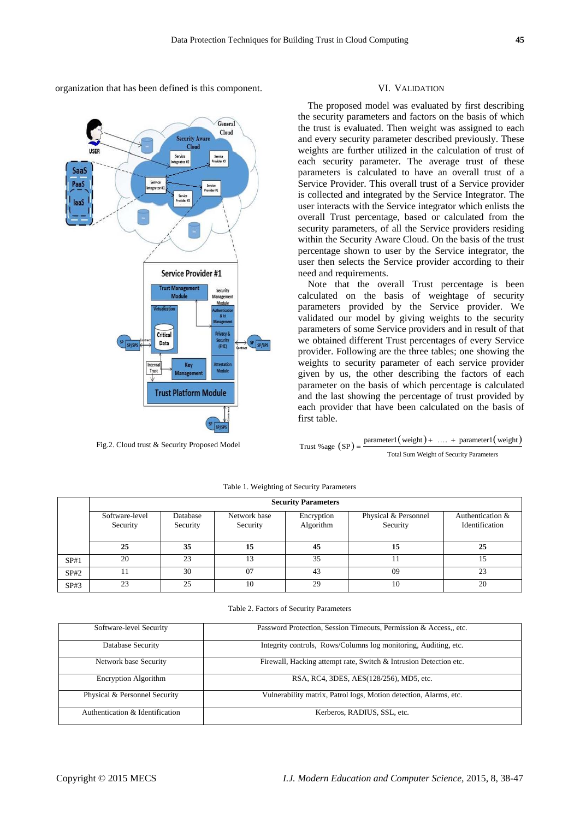organization that has been defined is this component.



Fig.2. Cloud trust & Security Proposed Model

#### VI. VALIDATION

The proposed model was evaluated by first describing the security parameters and factors on the basis of which the trust is evaluated. Then weight was assigned to each and every security parameter described previously. These weights are further utilized in the calculation of trust of each security parameter. The average trust of these parameters is calculated to have an overall trust of a Service Provider. This overall trust of a Service provider is collected and integrated by the Service Integrator. The user interacts with the Service integrator which enlists the overall Trust percentage, based or calculated from the security parameters, of all the Service providers residing within the Security Aware Cloud. On the basis of the trust percentage shown to user by the Service integrator, the user then selects the Service provider according to their need and requirements.

Note that the overall Trust percentage is been calculated on the basis of weightage of security parameters provided by the Service provider. We validated our model by giving weights to the security parameters of some Service providers and in result of that we obtained different Trust percentages of every Service provider. Following are the three tables; one showing the weights to security parameter of each service provider given by us, the other describing the factors of each parameter on the basis of which percentage is calculated and the last showing the percentage of trust provided by each provider that have been calculated on the basis of first table.

Trust % age  $(SP)$  =  $parameter1(weight) + ... + parameter1(weight)$ Total Sum Weight of Security Parameters

|      | <b>Security Parameters</b> |                      |                          |                         |                                  |                                    |  |  |  |  |  |
|------|----------------------------|----------------------|--------------------------|-------------------------|----------------------------------|------------------------------------|--|--|--|--|--|
|      | Software-level<br>Security | Database<br>Security | Network base<br>Security | Encryption<br>Algorithm | Physical & Personnel<br>Security | Authentication &<br>Identification |  |  |  |  |  |
|      | 25                         | 35                   |                          | 45                      | 15                               | 25                                 |  |  |  |  |  |
| SP#1 | 20                         | 23                   | 13                       | 35                      |                                  |                                    |  |  |  |  |  |
| SP#2 |                            | 30                   | 07                       | 43                      | 09                               | 23                                 |  |  |  |  |  |
| SP#3 | 23                         | 25                   | 10                       | 29                      | 10                               | 20                                 |  |  |  |  |  |

Table 1. Weighting of Security Parameters

#### Table 2. Factors of Security Parameters

| Software-level Security         | Password Protection, Session Timeouts, Permission & Access., etc. |  |  |  |
|---------------------------------|-------------------------------------------------------------------|--|--|--|
| Database Security               | Integrity controls, Rows/Columns log monitoring, Auditing, etc.   |  |  |  |
| Network base Security           | Firewall, Hacking attempt rate, Switch & Intrusion Detection etc. |  |  |  |
| <b>Encryption Algorithm</b>     | RSA, RC4, 3DES, AES(128/256), MD5, etc.                           |  |  |  |
| Physical & Personnel Security   | Vulnerability matrix, Patrol logs, Motion detection, Alarms, etc. |  |  |  |
| Authentication & Identification | Kerberos, RADIUS, SSL, etc.                                       |  |  |  |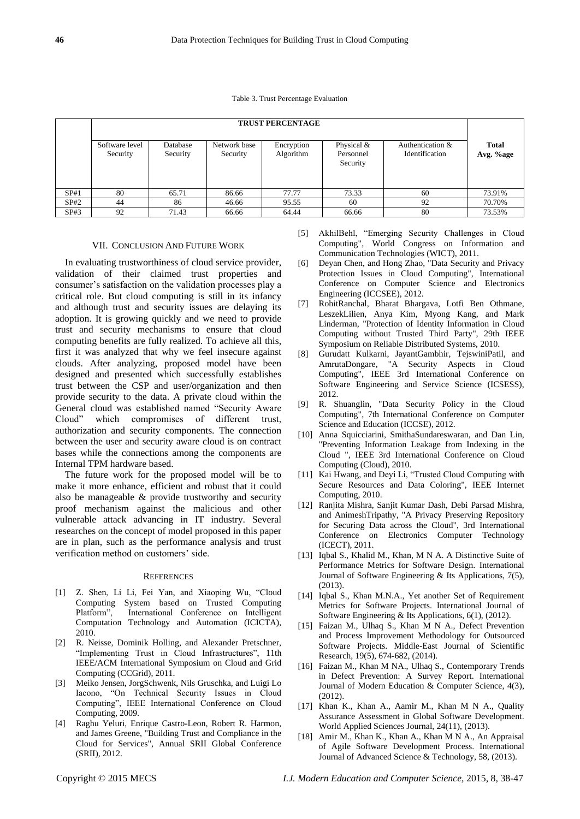Table 3. Trust Percentage Evaluation

|      | <b>TRUST PERCENTAGE</b>    |                      |                          |                         |                                       |                                    |                           |  |  |
|------|----------------------------|----------------------|--------------------------|-------------------------|---------------------------------------|------------------------------------|---------------------------|--|--|
|      | Software level<br>Security | Database<br>Security | Network base<br>Security | Encryption<br>Algorithm | Physical $&$<br>Personnel<br>Security | Authentication &<br>Identification | <b>Total</b><br>Avg. %age |  |  |
| SP#1 | 80                         | 65.71                | 86.66                    | 77.77                   | 73.33                                 | 60                                 | 73.91%                    |  |  |
| SP#2 | 44                         | 86                   | 46.66                    | 95.55                   | 60                                    | 92                                 | 70.70%                    |  |  |
| SP#3 | 92                         | 71.43                | 66.66                    | 64.44                   | 66.66                                 | 80                                 | 73.53%                    |  |  |

#### VII. CONCLUSION AND FUTURE WORK

In evaluating trustworthiness of cloud service provider, validation of their claimed trust properties and consumer's satisfaction on the validation processes play a critical role. But cloud computing is still in its infancy and although trust and security issues are delaying its adoption. It is growing quickly and we need to provide trust and security mechanisms to ensure that cloud computing benefits are fully realized. To achieve all this, first it was analyzed that why we feel insecure against clouds. After analyzing, proposed model have been designed and presented which successfully establishes trust between the CSP and user/organization and then provide security to the data. A private cloud within the General cloud was established named "Security Aware Cloud" which compromises of different trust, authorization and security components. The connection between the user and security aware cloud is on contract bases while the connections among the components are Internal TPM hardware based.

The future work for the proposed model will be to make it more enhance, efficient and robust that it could also be manageable & provide trustworthy and security proof mechanism against the malicious and other vulnerable attack advancing in IT industry. Several researches on the concept of model proposed in this paper are in plan, such as the performance analysis and trust verification method on customers' side.

#### **REFERENCES**

- [1] Z. Shen, Li Li, Fei Yan, and Xiaoping Wu, "Cloud Computing System based on Trusted Computing Platform", International Conference on Intelligent Computation Technology and Automation (ICICTA), 2010.
- [2] R. Neisse, Dominik Holling, and Alexander Pretschner, "Implementing Trust in Cloud Infrastructures", 11th IEEE/ACM International Symposium on Cloud and Grid Computing (CCGrid), 2011.
- [3] Meiko Jensen, JorgSchwenk, Nils Gruschka, and Luigi Lo Iacono, "On Technical Security Issues in Cloud Computing", IEEE International Conference on Cloud Computing, 2009.
- [4] Raghu Yeluri, Enrique Castro-Leon, Robert R. Harmon, and James Greene, "Building Trust and Compliance in the Cloud for Services", Annual SRII Global Conference (SRII), 2012.
- [5] AkhilBehl, "Emerging Security Challenges in Cloud Computing", World Congress on Information and Communication Technologies (WICT), 2011.
- [6] Deyan Chen, and Hong Zhao, "Data Security and Privacy Protection Issues in Cloud Computing", International Conference on Computer Science and Electronics Engineering (ICCSEE), 2012.
- [7] RohitRanchal, Bharat Bhargava, Lotfi Ben Othmane, LeszekLilien, Anya Kim, Myong Kang, and Mark Linderman, "Protection of Identity Information in Cloud Computing without Trusted Third Party", 29th IEEE Symposium on Reliable Distributed Systems, 2010.
- [8] Gurudatt Kulkarni, JayantGambhir, TejswiniPatil, and AmrutaDongare, "A Security Aspects in Cloud Computing", IEEE 3rd International Conference on Software Engineering and Service Science (ICSESS), 2012.
- [9] R. Shuanglin, "Data Security Policy in the Cloud Computing", 7th International Conference on Computer Science and Education (ICCSE), 2012.
- [10] Anna Squicciarini, SmithaSundareswaran, and Dan Lin, "Preventing Information Leakage from Indexing in the Cloud ", IEEE 3rd International Conference on Cloud Computing (Cloud), 2010.
- [11] Kai Hwang, and Deyi Li, "Trusted Cloud Computing with Secure Resources and Data Coloring", IEEE Internet Computing, 2010.
- [12] Ranjita Mishra, Sanjit Kumar Dash, Debi Parsad Mishra, and AnimeshTripathy, "A Privacy Preserving Repository for Securing Data across the Cloud", 3rd International Conference on Electronics Computer Technology (ICECT), 2011.
- [13] Iqbal S., Khalid M., Khan, M N A. A Distinctive Suite of Performance Metrics for Software Design. International Journal of Software Engineering & Its Applications, 7(5), (2013).
- [14] Iqbal S., Khan M.N.A., Yet another Set of Requirement Metrics for Software Projects. International Journal of Software Engineering & Its Applications, 6(1), (2012).
- [15] Faizan M., Ulhaq S., Khan M N A., Defect Prevention and Process Improvement Methodology for Outsourced Software Projects. Middle-East Journal of Scientific Research, 19(5), 674-682, (2014).
- [16] Faizan M., Khan M NA., Ulhaq S., Contemporary Trends in Defect Prevention: A Survey Report. International Journal of Modern Education & Computer Science, 4(3), (2012).
- [17] Khan K., Khan A., Aamir M., Khan M N A., Quality Assurance Assessment in Global Software Development. World Applied Sciences Journal, 24(11), (2013).
- [18] Amir M., Khan K., Khan A., Khan M N A., An Appraisal of Agile Software Development Process. International Journal of Advanced Science & Technology, 58, (2013).